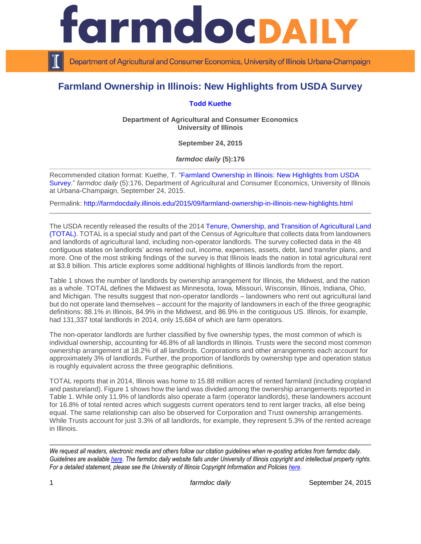

Department of Agricultural and Consumer Economics, University of Illinois Urbana-Champaign

## **Farmland Ownership in Illinois: New Highlights from USDA Survey**

## **[Todd Kuethe](http://farmdoc.illinois.edu/kuethe)**

**Department of Agricultural and Consumer Economics University of Illinois**

**September 24, 2015**

*farmdoc daily* **(5):176**

Recommended citation format: Kuethe, T. ["Farmland Ownership in Illinois: New Highlights from USDA](http://farmdocdaily.illinois.edu/2015/09/farmland-ownership-in-illinois-new-highlights.html)  [Survey.](http://farmdocdaily.illinois.edu/2015/09/farmland-ownership-in-illinois-new-highlights.html)" *farmdoc daily* (5):176, Department of Agricultural and Consumer Economics, University of Illinois at Urbana-Champaign, September 24, 2015.

Permalink: <http://farmdocdaily.illinois.edu/2015/09/farmland-ownership-in-illinois-new-highlights.html>

The USDA recently released the results of the 2014 [Tenure, Ownership, and Transition of Agricultural Land](http://www.agcensus.usda.gov/Publications/TOTAL/)  [\(TOTAL\).](http://www.agcensus.usda.gov/Publications/TOTAL/) TOTAL is a special study and part of the Census of Agriculture that collects data from landowners and landlords of agricultural land, including non-operator landlords. The survey collected data in the 48 contiguous states on landlords' acres rented out, income, expenses, assets, debt, land transfer plans, and more. One of the most striking findings of the survey is that Illinois leads the nation in total agricultural rent at \$3.8 billion. This article explores some additional highlights of Illinois landlords from the report.

Table 1 shows the number of landlords by ownership arrangement for Illinois, the Midwest, and the nation as a whole. TOTAL defines the Midwest as Minnesota, Iowa, Missouri, Wisconsin, Illinois, Indiana, Ohio, and Michigan. The results suggest that non-operator landlords – landowners who rent out agricultural land but do not operate land themselves – account for the majority of landowners in each of the three geographic definitions: 88.1% in Illinois, 84.9% in the Midwest, and 86.9% in the contiguous US. Illinois, for example, had 131,337 total landlords in 2014, only 15,684 of which are farm operators.

The non-operator landlords are further classified by five ownership types, the most common of which is individual ownership, accounting for 46.8% of all landlords in Illinois. Trusts were the second most common ownership arrangement at 18.2% of all landlords. Corporations and other arrangements each account for approximately 3% of landlords. Further, the proportion of landlords by ownership type and operation status is roughly equivalent across the three geographic definitions.

TOTAL reports that in 2014, Illinois was home to 15.88 million acres of rented farmland (including cropland and pastureland). Figure 1 shows how the land was divided among the ownership arrangements reported in Table 1. While only 11.9% of landlords also operate a farm (operator landlords), these landowners account for 16.8% of total rented acres which suggests current operators tend to rent larger tracks, all else being equal. The same relationship can also be observed for Corporation and Trust ownership arrangements. While Trusts account for just 3.3% of all landlords, for example, they represent 5.3% of the rented acreage in Illinois.

*We request all readers, electronic media and others follow our citation guidelines when re-posting articles from farmdoc daily. Guidelines are available [here.](http://farmdocdaily.illinois.edu/citationguide.html) The farmdoc daily website falls under University of Illinois copyright and intellectual property rights. For a detailed statement, please see the University of Illinois Copyright Information and Policies [here.](http://www.cio.illinois.edu/policies/copyright/)*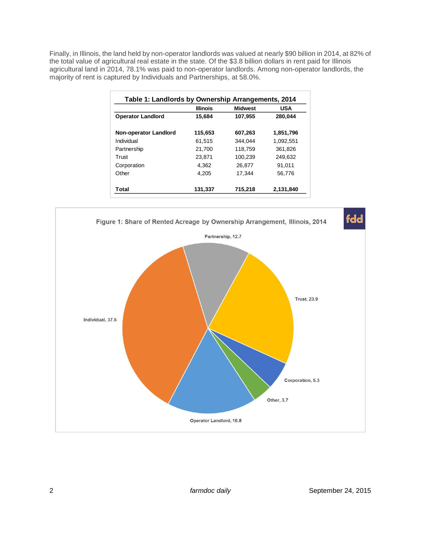Finally, in Illinois, the land held by non-operator landlords was valued at nearly \$90 billion in 2014, at 82% of the total value of agricultural real estate in the state. Of the \$3.8 billion dollars in rent paid for Illinois agricultural land in 2014, 78.1% was paid to non-operator landlords. Among non-operator landlords, the majority of rent is captured by Individuals and Partnerships, at 58.0%.

|                              | <b>Illinois</b> | <b>Midwest</b> | <b>USA</b> |
|------------------------------|-----------------|----------------|------------|
| <b>Operator Landlord</b>     | 15.684          | 107,955        | 280,044    |
| <b>Non-operator Landlord</b> | 115,653         | 607.263        | 1.851.796  |
| Individual                   | 61.515          | 344.044        | 1.092.551  |
| Partnership                  | 21.700          | 118.759        | 361.826    |
| Trust                        | 23,871          | 100.239        | 249,632    |
| Corporation                  | 4.362           | 26,877         | 91,011     |
| Other                        | 4.205           | 17,344         | 56,776     |
| Total                        | 131,337         | 715,218        | 2,131,840  |